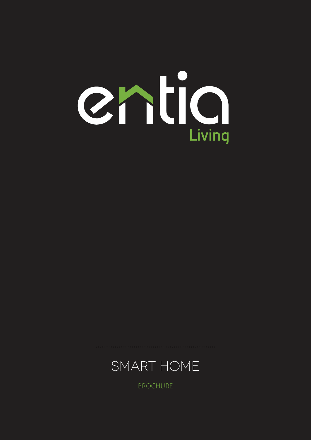BROCHURE



. . . . . . . . . . . .

Chlic

Living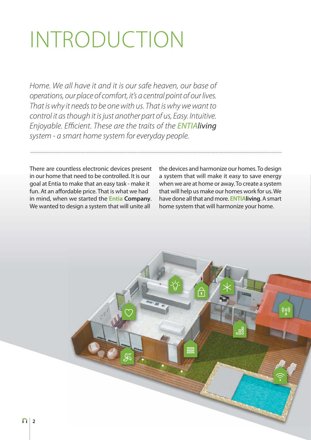## INTRODUCTION

Home. We all have it and it is our safe heaven, our base of operations, our place of comfort, it's a central point of our lives. That is why it needs to be one with us. That is why we want to control it as though it is just another part of us, Easy. Intuitive. Enjoyable. Efficient. These are the traits of the ENTIAliving system - a smart home system for everyday people.

There are countless electronic devices present in our home that need to be controlled. It is our goal at Entia to make that an easy task - make it fun. At an affordable price. That is what we had in mind, when we started the **Entia Company**. We wanted to design a system that will unite all

the devices and harmonize our homes. To design a system that will make it easy to save energy when we are at home or away. To create a system that will help us make our homes work for us. We have done all that and more. **ENTIAliving**. A smart home system that will harmonize your home.

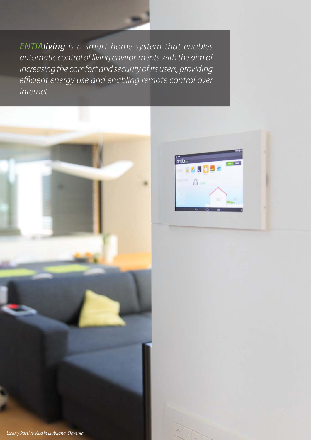ENTIAliving is a smart home system that enables automatic control of living environments with the aim of increasing the comfort and security of its users, providing efficient energy use and enabling remote control over Internet.



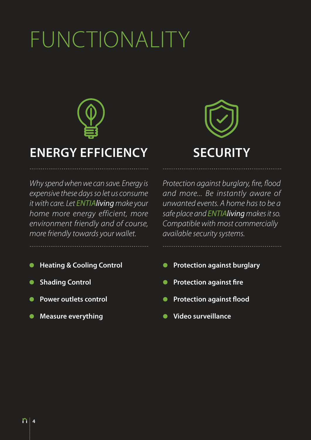# FUNCTIONALITY



## **ENERGY EFFICIENCY SECURIT**

Why spend when we can save. Energy is expensive these days so let us consume it with care. Let ENTIAliving make your home more energy efficient, more environment friendly and of course, more friendly towards your wallet.

- 
- 
- 
- 



. . . . . . . . . . . . . . . . . .

Protection against burglary, fire, flood and more... Be instantly aware of unwanted events. A home has to be a safe place and ENTIAliving makes it so. Compatible with most commercially available security systems.

- **Heating & Cooling Control Protection against burglary**
- **C** Shading Control **Control Control Control Control Control Control** Control Control Control Control Control Control Control Control Control Control Control Control Control Control Control Control Control Control Cont
	- **Power outlets control COVID-10** Protection against flood
		- **Measure everything Measure everything Measure everything**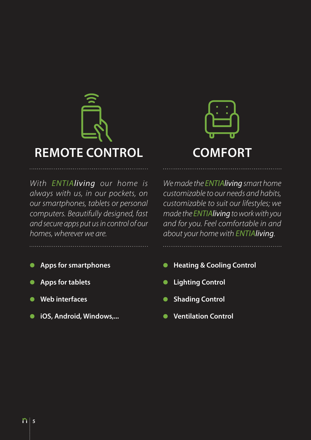

With ENTIAliving our home is always with us, in our pockets, on our smartphones, tablets or personal computers. Beautifully designed, fast and secure apps put us in control of our homes, wherever we are.

- $\bullet$
- $\bullet$
- 
- **iOS, Android, Windows,... Ventilation Control**



We made the ENTIAliving smart home customizable to our needs and habits, customizable to suit our lifestyles; we made the ENTIAliving to work with you and for you. Feel comfortable in and about your home with ENTIAliving.

- **Apps for smartphones Apps for smartphones Apps for smartphones Apple 2014**
- **Apps for tablets Control**
- **Web interfaces** Shading Control
	-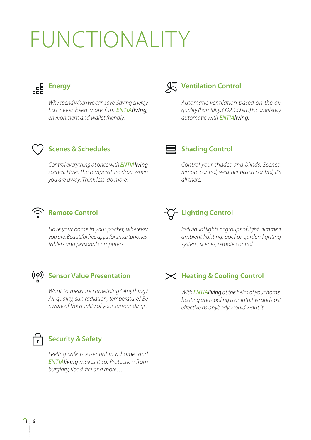## FUNCTIONALITY



Why spend when we can save. Saving energy has never been more fun. ENTIAliving, environment and wallet friendly.

### **Ventilation Control**

Automatic ventilation based on the air quality (humidity, CO2, CO etc.) is completely automatic with ENTIAliving.

### **Scenes & Schedules**

Control everything at once with ENTIAliving scenes. Have the temperature drop when you are away. Think less, do more.

### ■ Shading Control

Control your shades and blinds. Scenes, remote control, weather based control, it's all there.

### **Remote Control**

Have your home in your pocket, wherever you are. Beautiful free apps for smartphones, tablets and personal computers.

### **Sensor Value Presentation**

Want to measure something? Anything? Air quality, sun radiation, temperature? Be aware of the quality of your surroundings.



### **Security & Safety**

Feeling safe is essential in a home, and ENTIAliving makes it so. Protection from burglary, flood, fire and more…



Individual lights or groups of light, dimmed ambient lighting, pool or garden lighting system, scenes, remote control…

## **Heating & Cooling Control**

With **ENTIAliving** at the helm of your home, heating and cooling is as intuitive and cost effective as anybody would want it.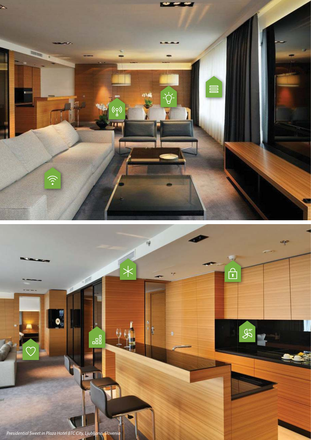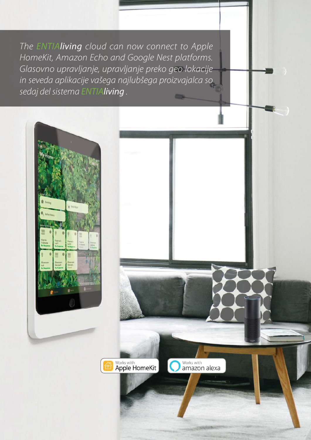The ENTIAliving cloud can now connect to Apple HomeKit, Amazon Echo and Google Nest platforms. Glasovno upravljanje, upravljanje preko geo lokacije in seveda aplikacije vašega najlubšega proizvajalca so sedaj del sistema ENTIAliving.



vva

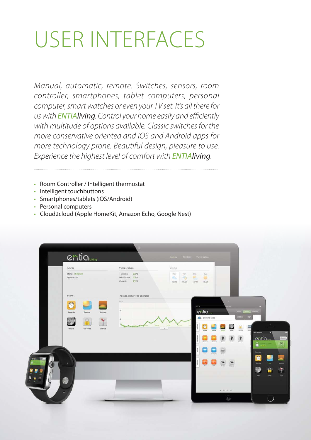## USER INTERFACES

Manual, automatic, remote. Switches, sensors, room controller, smartphones, tablet computers, personal computer, smart watches or even your TV set. It's all there for us with **ENTIAliving**. Control your home easily and efficiently with multitude of options available. Classic switches for the more conservative oriented and iOS and Android apps for more technology prone. Beautiful design, pleasure to use. Experience the highest level of comfort with **ENTIAliving**.

- Room Controller / Intelligent thermostat
- Intelligent touchbuttons
- Smartphones/tablets (iOS/Android)
- Personal computers
- Cloud2cloud (Apple HomeKit, Amazon Echo, Google Nest)

| Alarm                                                                    | Temperatura                                                          | <b>Vreme</b>                              |                                            |      |                                                 |
|--------------------------------------------------------------------------|----------------------------------------------------------------------|-------------------------------------------|--------------------------------------------|------|-------------------------------------------------|
| Stanje: Vklopljen<br>Sporocila: 0                                        | 22 <sup>o</sup><br>Trenutna:<br>Nastavljena 22°C<br>15°C<br>Zunanja: | For.<br>Tor.<br>-9<br>×<br>15/22<br>16/20 | Sre.<br>Cet.<br>۰<br>go.<br>16/34<br>18/26 |      |                                                 |
| Scene                                                                    | Poraba električne energije                                           |                                           |                                            |      |                                                 |
| $47 - 76$<br>$\bullet$<br><b>Sunny</b><br>Jutranja<br>Dneyna:<br>Večerna | a sen<br>110                                                         |                                           | $\sigma$ as ( $\Phi$<br>entia              |      |                                                 |
| ŖМ                                                                       |                                                                      |                                           | <b>EL</b> Dnevna soba                      | 200W | $-22$                                           |
| <b>Nočna</b><br>Od doma<br>Zabava                                        |                                                                      | 12:01<br>$V =$                            |                                            |      | <b>ALEXANDER</b><br>в                           |
|                                                                          |                                                                      |                                           |                                            |      | entia<br>$\blacksquare$<br><b>Elizar cycles</b> |
|                                                                          |                                                                      |                                           |                                            |      | Scenes:<br>$\overline{c}$                       |
| $\mathbf{A}$                                                             |                                                                      |                                           | ×                                          |      | m<br><b>Day</b>                                 |
|                                                                          |                                                                      |                                           |                                            |      | Ð<br>A<br>Anty<br><b>Myr</b>                    |
| х                                                                        |                                                                      |                                           |                                            |      |                                                 |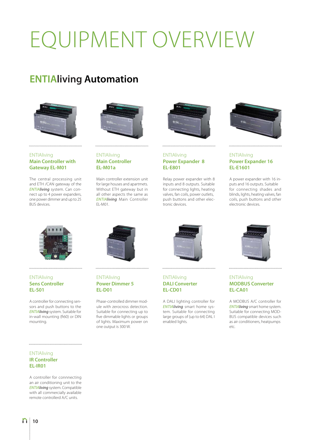# EQUIPMENT OVERVIEW

### **ENTIAliving Automation**



#### **ENTIAliving Main Controller with Gateway EL-M01**

The central processing unit and ETH /CAN gateway of the ENTIAliving system. Can connect up to 4 power expanders, one power dimmer and up to 25 BUS devices.



#### ENTIAliving **Main Controller EL-M01a**

Main controller extension unit for large houses and apartmets. Without ETH gateway but in all other aspects the same as ENTIAliving Main Controller EL-M01.



#### **ENTIAliving Power Expander 8 EL-E801**

Relay power expander with 8 inputs and 8 outputs. Suitable for connecting lights, heating valves, fan coils, power outlets, push buttons and other electronic devices.



#### **ENTIAliving Power Expander 16 EL-E1601**

A power expander with 16 inputs and 16 outputs. Suitable for connecting shades and blinds, lights, heating valves, fan coils, push buttons and other electronic devices.



#### **ENTIAliving Sens Controller EL-S01**

A controller for connecting sensors and push buttons to the ENTIAliving system. Suitable for in-wall mounting (fi60) or DIN mounting.

#### ENTIAliving **Power Dimmer 5 EL-D01**

Phase-controlled dimmer module with zerocross detection. Suitable for connecting up to five dimmable lights or groups of lights. Maximum power on one output is 300 W.



#### **ENTIAliving DALI Converter EL-CD01**

A DALI lighting controller for ENTIAliving smart home system. Suitable for connecting large groups of (up to 64) DAL I enabled lights.



#### **ENTIAliving MODBUS Converter EL-CA01**

A MODBUS A/C controller for ENTIAliving smart home system. Suitable for connecting MOD-BUS compatible devices such as air conditioners, heatpumps  $_{\rho}$ tc.

#### 

#### **ENTIAliving IR Controller EL-IR01**

A controller for connnecting an air conditioning unit to the ENTIAliving system. Compatible with all commercially available remote controllerd A/C units.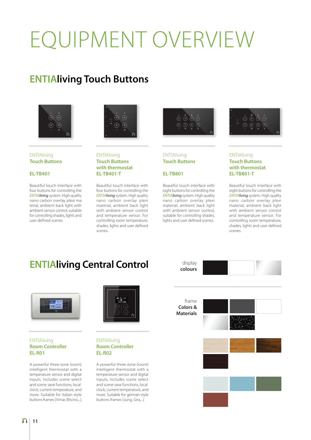# EQUIPMENT OVERVIEW

## **ENTIAliving Touch Buttons**



#### **ENTIAliving Touch Buttons**

#### **EL-TB401**

Beautiful touch interface with four buttons for controlling the ENTIAliving system. High quality nano carbon overlay plexi ma terial, ambient back light with ambient sensor control, suitable for controlling shades, lights and user defined scenes.



#### **ENTIAliving Touch Buttons with thermostat EL-TB401-T**

Beautiful touch interface with four buttons for controlling the ENTIAliving system. High quality nano carbon overlay plexi material, ambient back light with ambient sensor control and temperature sensor. For controlling room temperature, shades, lights and user defined scenes.



### **ENTIAliving Touch Buttons**

### **EL-TB801**

Beautiful touch interface with eight buttons for controlling the ENTIAliving system. High quality nano carbon overlay plexi material, ambient back light with ambient sensor control, suitable for controlling shades, lights and user defined scenes.



#### **ENTIAliving Touch Buttons with thermostat EL-TB801-T**

Beautiful touch interface with eight buttons for controlling the ENTIAliving system. High quality nano carbon overlay plexi material, ambient back light with ambient sensor control and temperature sensor. For controlling room temperature, shades, lights and user defined scenes.

## **ENTIAliving Central Control**



#### **ENTIAliving Room Controller EL-R01**

A powerful three-zone (room) intelligent thermostat with a temperature sensor and digital inputs. Includes scene select and scene save functions, local clock, current temperature, and more. Suitable for italian style buttons frames (Vimar, Bticino,...)



#### ENTIAliving **Room Controller EL-R02**

A powerful three-zone (room) intelligent thermostat with a temperature sensor and digital inputs. Includes scene select and scene save functions, local clock, current temperature, and more. Suitable for german style buttons frames (Jung, Gira,...)

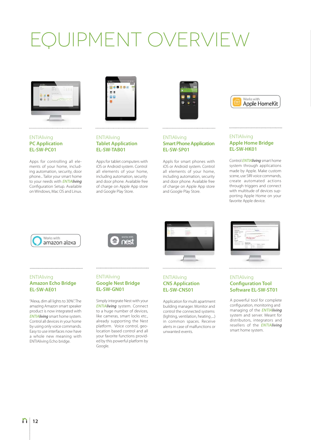## QUIPMENT OVERVIEW



#### **ENTIAliving PC Application EL-SW-PC01**

Apps for controlling all elements of your home, including automation, security, door phone... Tailor your smart home to your needs with **ENTIAliving** Configuration Setup. Available on Windows, Mac OS and Linux.



**ENTIAliving** 

**Tablet Application EL-SW-TAB01**

Apps for tablet computers with iOS or Android system. Control all elements of your home, including automation, security and door phone. Available free of charge on Apple App store and Google Play Store.



#### **ENTIAliving Smart Phone Application EL-SW-SP01**

Appls for smart phones with iOS or Android system. Control all elements of your home, including automation, security and door phone. Available free of charge on Apple App store and Google Play Store.



#### **ENTIAliving Apple Home Bridge EL-SW-HK01**

Control **ENTIAliving** smart home system through applications made by Apple. Make custom scene, use SIRI voice commands, create automated actions through triggers and connect with multitude of devices supporting Apple Home on your favorite Apple device.







#### **ENTIAliving CNS Application EL-SW-CNS01**

Application for multi apartment building manager. Monitor and control the connected systems (lighting, ventilation, heating ,...) in common spaces. Receive alerts in case of malfunctions or unwanted events.



#### ENTIAliving **Configuration Tool Software EL-SW-ST01**

A powerful tool for complete configuration, monitoring and managing of the **ENTIAlivina** system and server. Meant for distributors, integrators and resellers of the **ENTIAliving** smart home system.

#### **ENTIAliving Amazon Echo Bridge EL-SW-AE01**

"Alexa, dim all lights to 30%". The amazing Amazon smart speaker product is now integrated with ENTIAliving smart home system. Control all devices in your home by using only voice commands. Easy to use interfaces now have a whole new meaning with ENTIAliving Echo bridge.

#### ENTIAliving **Google Nest Bridge EL-SW-GN01**

Simply integrate Nest with your ENTIAliving system. Connect to a huge number of devices, like cameras, smart locks etc., already supporting the Nest platform. Voice control, geolocation based control and all your favorite functions provided by this powerful platform by Google.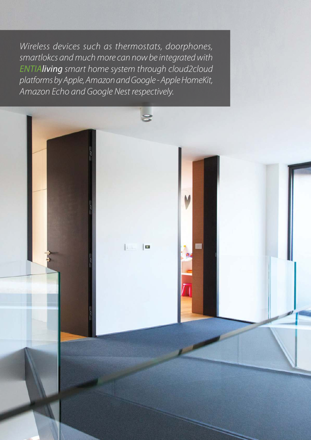Wireless devices such as thermostats, doorphones, smartlokcs and much more can now be integrated with ENTIAliving smart home system through cloud2cloud platforms by Apple, Amazon and Google - Apple HomeKit, Amazon Echo and Google Nest respectively.

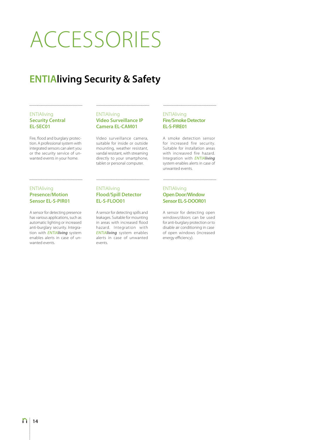## ACCESSORIES

## **ENTIAliving Security & Safety**

#### **ENTIAliving Security Central EL-SEC01**

Fire, flood and burglary protection. A professional system with integrated sensors can alert you or the security service of unwanted events in your home.

#### **ENTIAliving Video Surveillance IP Camera EL-CAM01**

Video surveillance camera, suitable for inside or outside mounting, weather resistant, vandal resistant, with streaming directly to your smartphone, tablet or personal computer.

#### **ENTIAliving Fire/Smoke Detector EL-S-FIRE01**

A smoke detection sensor for increased fire security. Suitable for installation areas with increasred fire hazard. Integration with ENTIAliving system enables alerts in case of unwanted events.

#### ENTIAliving **Presence/Motion Sensor EL-S-PIR01**

A sensor for detecting presence has various applications, such as automatic lighting or increased anti-burglary security. Integration with **ENTIAliving** system enables alerts in case of unwanted events.

#### **ENTIAliving Flood/Spill Detector EL-S-FLOO01**

A sensor for detecting spills and leakages. Suitable for mounting in areas with increased flood hazard. Integration with ENTIAliving system enables alerts in case of unwanted events.

#### ENTIAliving **Open Door/Window Sensor EL-S-DOOR01**

A sensor for detecting open windows/doors can be used for anti-burglary protection or to disable air conditioning in case of open windows (increased energy efficiency).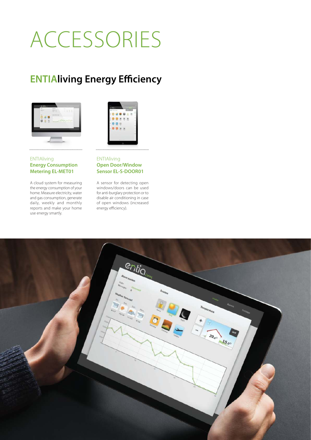## ACCESSORIES

## **ENTIAliving Energy Efficiency**





#### ENTIAliving **Energy Consumption Metering EL-MET01**

A cloud system for measuring the energy consumption of your home. Measure electricity, water and gas consumption, generate daily, weekly and monthly reports and make your home use energy smartly.

#### **ENTIAliving Open Door/Window Sensor EL-S-DOOR01**

A sensor for detecting open windows/doors can be used for anti-burglary protection or to disable air conditioning in case of open windows (increased energy efficiency).

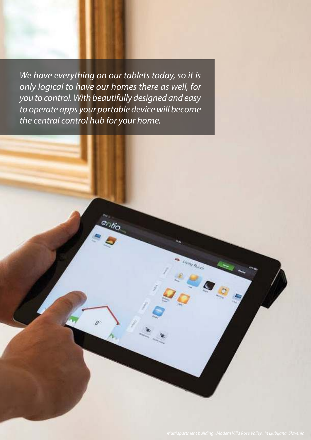We have everything on our tablets today, so it is only logical to have our homes there as well, for you to control. With beautifully designed and easy to operate apps your portable device will become the central control hub for your home.

 $\theta$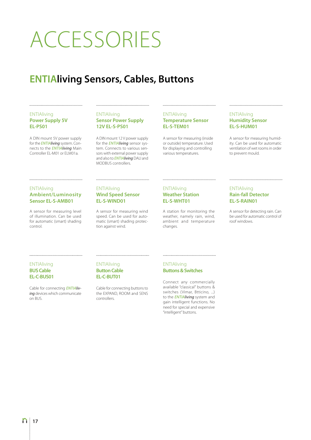## ACCESSORIES

## **ENTIAliving Sensors, Cables, Buttons**

#### **ENTIAliving Power Supply 5V EL-PS01**

A DIN mount 5V power supply for the **ENTIAliving** system. Connects to the **ENTIAliving** Main Controller EL-M01 or ELM01a.

#### **ENTIAliving Sensor Power Supply 12V EL-S-PS01**

A DIN mount 12 V power supply for the **ENTIAliving** sensor system. Connects to various sensors with external power supply and also to **ENTIAliving** DALI and MODBUS controllers.

#### **ENTIAliving Temperature Sensor EL-S-TEM01**

A sensor for measuring (inside or outside) temperature. Used for displaying and controlling various temperatures.

#### **ENTIAliving Humidity Sensor EL-S-HUM01**

A sensor for measuring humidity. Can be used for automatic ventilation of wet rooms in order to prevent mould.

#### **ENTIAliving Ambient/Luminosity Sensor EL-S-AMB01**

A sensor for measuring level of illumination. Can be used for automatic (smart) shading control.

#### ENTIAliving **Wind Speed Sensor EL-S-WIND01**

A sensor for measuring wind speed. Can be used for automatic (smart) shading protection against wind.

#### ENTIAliving **Weather Station EL-S-WHT01**

A station for monitoring the weather, namely rain, wind, ambient and temperature changes.

#### **ENTIAliving Rain-fall Detector EL-S-RAIN01**

A sensor for detecting rain. Can be used for automatic control of roof windows.

#### **ENTIAliving BUS Cable EL-C-BUS01**

Cable for connecting **ENTIAliv**ing devices which communicate on BUS.

#### **ENTIAliving Button Cable EL-C-BUT01**

Cable for connecting buttons to the EXPAND, ROOM and SENS controllers.

**ENTIAliving Buttons & Switches**

Connect any commercially available "classical" buttons & switches (Vimar, Btticino, ...) to the **ENTIAliving** system and gain intelligent functions. No need for special and expensive "intelligent" buttons.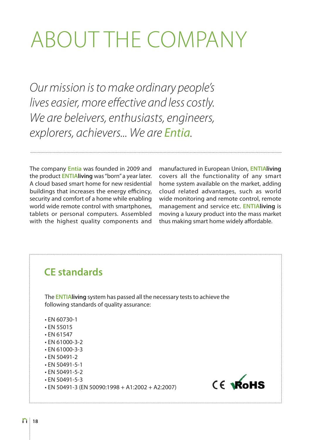## ABOUT THE COMPANY

Our mission is to make ordinary people's lives easier, more effective and less costly. We are beleivers, enthusiasts, engineers, explorers, achievers... We are Entia.

The company **Entia** was founded in 2009 and the product **ENTIAliving** was "born" a year later. A cloud based smart home for new residential buildings that increases the energy efficincy, security and comfort of a home while enabling world wide remote control with smartphones, tablets or personal computers. Assembled with the highest quality components and

manufactured in European Union, **ENTIAliving**  covers all the functionality of any smart home system available on the market, adding cloud related advantages, such as world wide monitoring and remote control, remote management and service etc. **ENTIAliving** is moving a luxury product into the mass market thus making smart home widely affordable.

### **CE standards**

The **ENTIAliving** system has passed all the necessary tests to achieve the following standards of quality assurance:

- EN 60730-1
- EN 55015
- EN 61547
- EN 61000-3-2
- EN 61000-3-3
- EN 50491-2
- EN 50491-5-1
- EN 50491-5-2
- EN 50491-5-3
- EN 50491-3 (EN 50090:1998 + A1:2002 + A2:2007)

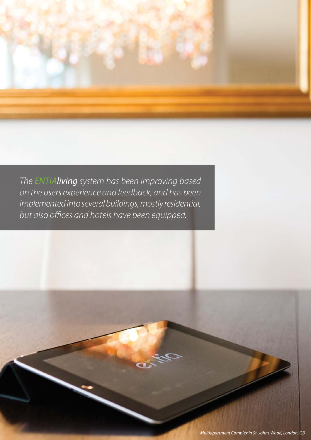The ENTIAliving system has been improving based on the users experience and feedback, and has been implemented into several buildings, mostly residential, but also offices and hotels have been equipped.